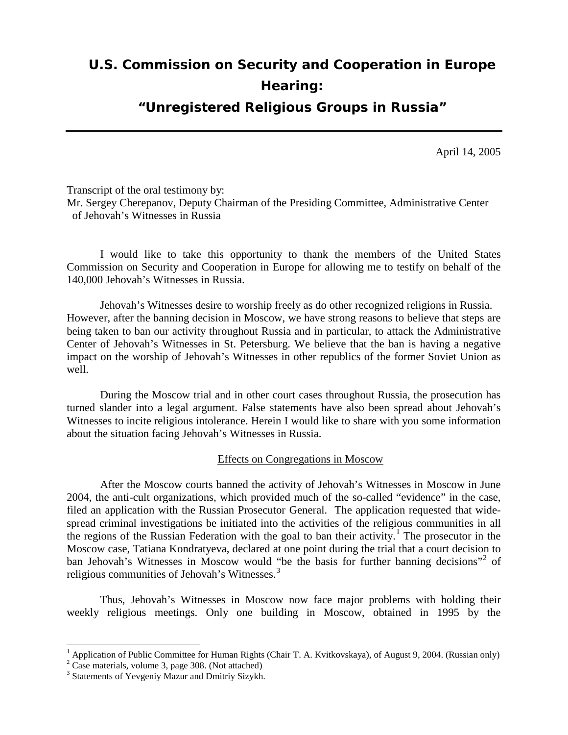# **U.S. Commission on Security and Cooperation in Europe Hearing:**

**"Unregistered Religious Groups in Russia"**

April 14, 2005

Transcript of the oral testimony by: Mr. Sergey Cherepanov, Deputy Chairman of the Presiding Committee, Administrative Center of Jehovah's Witnesses in Russia

I would like to take this opportunity to thank the members of the United States Commission on Security and Cooperation in Europe for allowing me to testify on behalf of the 140,000 Jehovah's Witnesses in Russia.

Jehovah's Witnesses desire to worship freely as do other recognized religions in Russia. However, after the banning decision in Moscow, we have strong reasons to believe that steps are being taken to ban our activity throughout Russia and in particular, to attack the Administrative Center of Jehovah's Witnesses in St. Petersburg. We believe that the ban is having a negative impact on the worship of Jehovah's Witnesses in other republics of the former Soviet Union as well.

During the Moscow trial and in other court cases throughout Russia, the prosecution has turned slander into a legal argument. False statements have also been spread about Jehovah's Witnesses to incite religious intolerance. Herein I would like to share with you some information about the situation facing Jehovah's Witnesses in Russia.

Effects on Congregations in Moscow

After the Moscow courts banned the activity of Jehovah's Witnesses in Moscow in June 2004, the anti-cult organizations, which provided much of the so-called "evidence" in the case, filed an application with the Russian Prosecutor General. The application requested that widespread criminal investigations be initiated into the activities of the religious communities in all the regions of the Russian Federation with the goal to ban their activity.<sup>[1](#page-0-0)</sup> The prosecutor in the Moscow case, Tatiana Kondratyeva, declared at one point during the trial that a court decision to ban Jehovah's Witnesses in Moscow would "be the basis for further banning decisions"<sup>[2](#page-0-1)</sup> of religious communities of Jehovah's Witnesses. $3$ 

Thus, Jehovah's Witnesses in Moscow now face major problems with holding their weekly religious meetings. Only one building in Moscow, obtained in 1995 by the

<span id="page-0-0"></span><sup>&</sup>lt;sup>1</sup> Application of Public Committee for Human Rights (Chair T. A. Kvitkovskaya), of August 9, 2004. (Russian only)  $^{2}$  Case materials, volume 3, page 308. (Not attached)

<span id="page-0-1"></span>

<span id="page-0-2"></span><sup>&</sup>lt;sup>3</sup> Statements of Yevgeniy Mazur and Dmitriy Sizykh.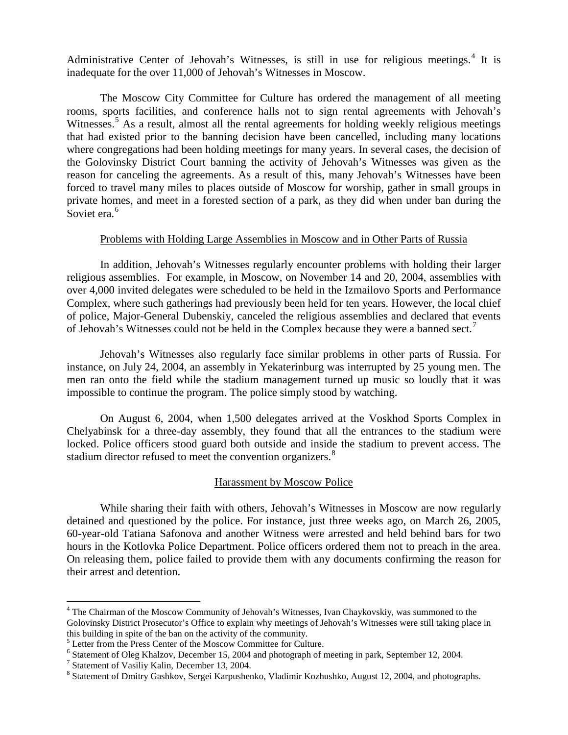Administrative Center of Jehovah's Witnesses, is still in use for religious meetings.<sup>[4](#page-1-0)</sup> It is inadequate for the over 11,000 of Jehovah's Witnesses in Moscow.

The Moscow City Committee for Culture has ordered the management of all meeting rooms, sports facilities, and conference halls not to sign rental agreements with Jehovah's Witnesses.<sup>[5](#page-1-1)</sup> As a result, almost all the rental agreements for holding weekly religious meetings that had existed prior to the banning decision have been cancelled, including many locations where congregations had been holding meetings for many years. In several cases, the decision of the Golovinsky District Court banning the activity of Jehovah's Witnesses was given as the reason for canceling the agreements. As a result of this, many Jehovah's Witnesses have been forced to travel many miles to places outside of Moscow for worship, gather in small groups in private homes, and meet in a forested section of a park, as they did when under ban during the Soviet era.<sup>[6](#page-1-2)</sup>

## Problems with Holding Large Assemblies in Moscow and in Other Parts of Russia

In addition, Jehovah's Witnesses regularly encounter problems with holding their larger religious assemblies. For example, in Moscow, on November 14 and 20, 2004, assemblies with over 4,000 invited delegates were scheduled to be held in the Izmailovo Sports and Performance Complex, where such gatherings had previously been held for ten years. However, the local chief of police, Major-General Dubenskiy, canceled the religious assemblies and declared that events of Jehovah's Witnesses could not be held in the Complex because they were a banned sect.<sup>[7](#page-1-3)</sup>

Jehovah's Witnesses also regularly face similar problems in other parts of Russia. For instance, on July 24, 2004, an assembly in Yekaterinburg was interrupted by 25 young men. The men ran onto the field while the stadium management turned up music so loudly that it was impossible to continue the program. The police simply stood by watching.

On August 6, 2004, when 1,500 delegates arrived at the Voskhod Sports Complex in Chelyabinsk for a three-day assembly, they found that all the entrances to the stadium were locked. Police officers stood guard both outside and inside the stadium to prevent access. The stadium director refused to meet the convention organizers.<sup>[8](#page-1-4)</sup>

### Harassment by Moscow Police

While sharing their faith with others, Jehovah's Witnesses in Moscow are now regularly detained and questioned by the police. For instance, just three weeks ago, on March 26, 2005, 60-year-old Tatiana Safonova and another Witness were arrested and held behind bars for two hours in the Kotlovka Police Department. Police officers ordered them not to preach in the area. On releasing them, police failed to provide them with any documents confirming the reason for their arrest and detention.

<span id="page-1-0"></span><sup>&</sup>lt;sup>4</sup> The Chairman of the Moscow Community of Jehovah's Witnesses, Ivan Chaykovskiy, was summoned to the Golovinsky District Prosecutor's Office to explain why meetings of Jehovah's Witnesses were still taking place in this building in spite of the ban on the activity of the community.<br><sup>5</sup> Letter from the Press Center of the Moscow Committee for Culture.

<span id="page-1-1"></span>

<span id="page-1-2"></span> $6$  Statement of Oleg Khalzov, December 15, 2004 and photograph of meeting in park, September 12, 2004.

<span id="page-1-3"></span><sup>7</sup> Statement of Vasiliy Kalin, December 13, 2004.

<span id="page-1-4"></span><sup>&</sup>lt;sup>8</sup> Statement of Dmitry Gashkov, Sergei Karpushenko, Vladimir Kozhushko, August 12, 2004, and photographs.